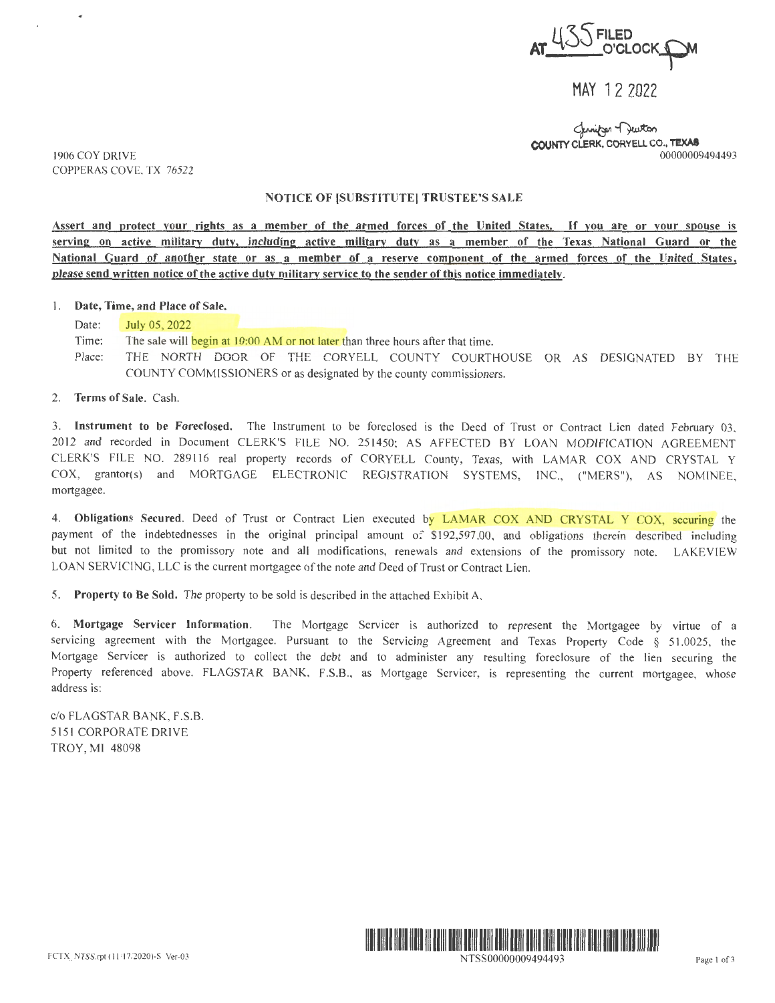**J( ~~FILED AT\_400 FILED**<br>
O'CLOCK OM MAY 12 2022

ستان Changer Turton<br>COUNTY CLERK, CORYELL CO., TEXAS 00000009494493

1906 COY DRIVE COPPERAS COVE, TX 76522

## NOTICE OF ISUBSTITUTEI TRUSTEE'S SALE

**Assert and protect your rights as a member of the armed forces of the United States.** If **you are or your spouse is serving on active military duty. including active military duty as a member of the Texas National Guard or the National Guard of another state or as a member of a reserve component of the armed forces of the United States, please send written notice of the active duty military service to the sender of this notice immediately.** 

I. **Date, Time, and Place of Sale.** 

Date: **July 05, 2022** 

Time: The sale will begin at 10:00 AM or not later than three hours after that time.

Place: THE NORTH DOOR OF THE CORYELL COUNTY COURTHOUSE OR AS DESIGNATED BY THE COUNTY COMMISSIONERS or as designated by the county commissioners.

2. **Terms of Sale.** Cash.

3. Instrument to be Foreclosed. The Instrument to be foreclosed is the Deed of Trust or Contract Lien dated February 03, 2012 and recorded in Document CLERK'S FILE NO. 251450; AS AFFECTED BY LOAN MODIFICATION AGREEMENT CLERK'S FILE NO. 289116 real property records of CORYELL County, Texas, with. LAMAR COX AND CRYSTAL Y COX, grantor(s) and MORTGAGE ELECTRONIC REGISTRATION SYSTEMS, JNC., ("MERS"), AS NOMINEE, mortgagee.

4. Obligations Secured. Deed of Trust or Contract Lien executed by LAMAR COX AND CRYSTAL Y COX, securing the payment of the indebtednesses in the original principal amount of \$192,597.00, and obligations therein described including but not limited to the promissory note and all modifications, renewals and extensions of the promissory note. LAKEVIEW LOAN SERVICING, LLC is the current mortgagee of the note and Deed of Trust or Contract Lien.

5. **Property to Be Sold.** The property to be sold is described in the attached Exhibit A.

6. **Mortgage Servicer Information.** The Mortgage Servicer is authorized to represent the Mortgagee by virtue of a servicing agreement with the Mortgagee. Pursuant to the Servicing Agreement and Texas Property Code § 51.0025, the Mortgage Servicer is authorized to collect the debt and to administer any resulting foreclosure of the lien securing the Property referenced above. FLAGSTAR BANK, F.S.B., as Mortgage Servicer, is representing the current mortgagee, whose address is:

c/o FLAGSTAR BANK, F.S.B. 5151 CORPORATE DRIVE TROY, MI 48098



NTSS00000009494493 Page 1 of 3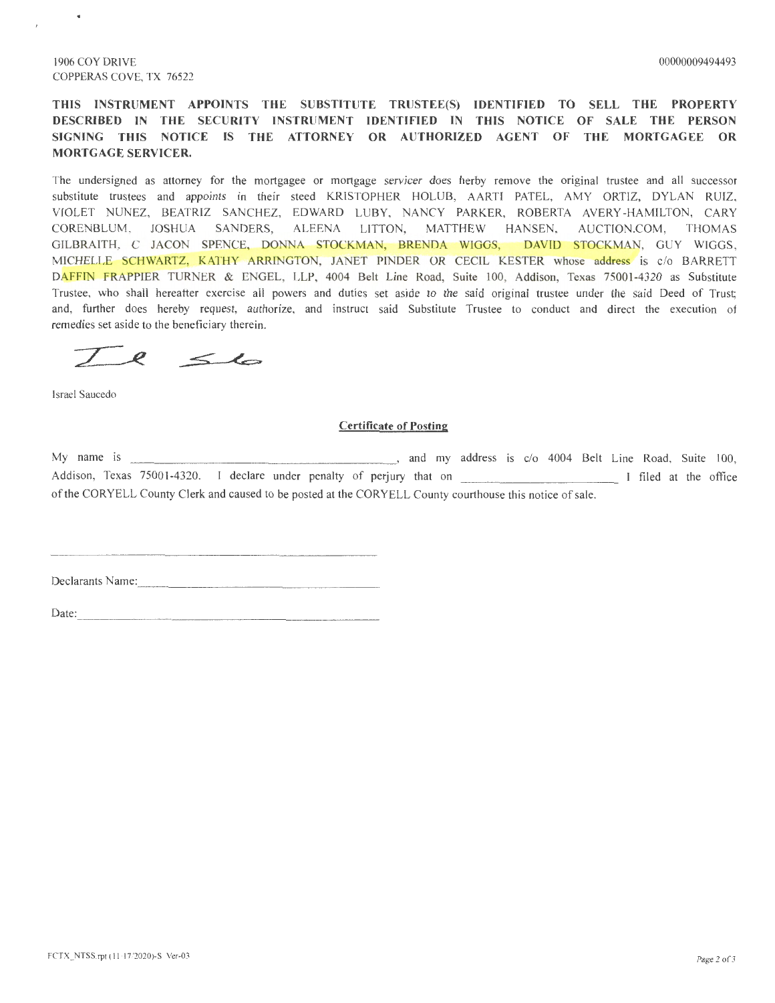$\bullet$ 

**THIS INSTRUMENT APPOINTS THE SUBSTITUTE TRUSTEE(S) IDENTIFIED TO SELL THE PROPERTY DESCRIBED IN THE SECURITY INSTRUMENT IDENTIFIED IN THIS NOTICE OF SALE THE PERSON**  SIGNING THIS NOTICE IS THE ATTORNEY OR AUTHORIZED AGENT OF THE MORTGAGEE OR **MORTGAGE SERVICER.** 

The undersigned as attorney for the mortgagee or mortgage servicer does herby remove the original trustee and all successor substitute trustees and appoints in their steed KRISTOPHER HOLUB, AARTI PATEL, AMY ORTIZ, DYLAN RUIZ, VIOLET NUNEZ, BEATRIZ SANCHEZ, EDWARD LUBY, NANCY PARKER, ROBERTA AVERY -HAMILTON, CARY CORENBLUM, JOSHUA SANDERS, ALEENA LITTON, MATTHEW HANSEN, AUCTION.COM, THOMAS GILBRAITH, C JACON SPENCE, DONNA STOCKMAN, BRENDA WIGGS, DAVID STOCKMAN, GUY WIGGS, MICHELLE SCHWARTZ, KATHY ARRINGTON, JANET PINDER OR CECIL KESTER whose address is c/o BARRETT DAFFIN FRAPPIER TURNER & ENGEL, LLP, 4004 Belt Line Road, Suite 100, Addison, Texas 75001-4320 as Substitute Trustee, who shall hereafter exercise all powers and duties set aside to the said original trustee under the said Deed of Trust; and, further does hereby request, authorize, and instruct said Substitute Trustee to conduct and direct the execution of remedies set aside to the beneficiary therein.

 $T$  e  $\leq l$ 

Israel Saucedo

## **Certificate of Posting**

My name is \_\_\_\_\_\_\_\_\_\_\_\_\_\_\_\_\_\_ , and my address is c/o 4004 Belt Line Road, Suite 100, Addison, Texas 75001-4320. I declare under penalty of perjury that on \_\_\_\_\_\_\_\_\_\_\_\_\_\_\_\_\_\_\_\_ I filed at the office of the CORYELL County Clerk and caused to be posted at the CORYELL County courthouse this notice of sale.

Declarants Name:

Date: \_\_\_\_\_\_\_\_\_\_\_\_\_\_\_\_\_\_\_\_ \_